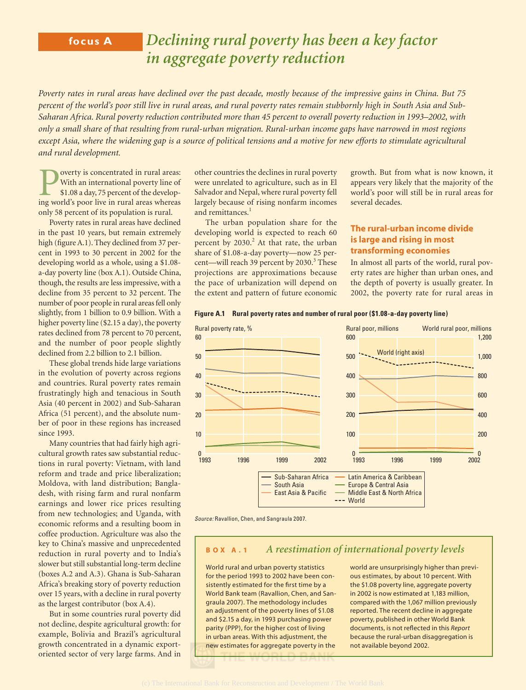# **focus A** *Declining rural poverty has been a key factor in aggregate poverty reduction*

*Poverty rates in rural areas have declined over the past decade, mostly because of the impressive gains in China. But 75 percent of the world's poor still live in rural areas, and rural poverty rates remain stubbornly high in South Asia and Sub-Saharan Africa. Rural poverty reduction contributed more than 45 percent to overall poverty reduction in 1993–2002, with only a small share of that resulting from rural-urban migration. Rural-urban income gaps have narrowed in most regions except Asia, where the widening gap is a source of political tensions and a motive for new efforts to stimulate agricultural and rural development.*

Poverty is concentrated in rural areas:<br>With an international poverty line of<br>\$1.08 a day, 75 percent of the develop-<br>ing world's poor live in rural areas whereas With an international poverty line of \$1.08 a day, 75 percent of the developing world's poor live in rural areas whereas only 58 percent of its population is rural.

Poverty rates in rural areas have declined in the past 10 years, but remain extremely high (figure A.1). They declined from 37 percent in 1993 to 30 percent in 2002 for the developing world as a whole, using a \$1.08 a-day poverty line (box A.1). Outside China, though, the results are less impressive, with a decline from 35 percent to 32 percent. The number of poor people in rural areas fell only slightly, from 1 billion to 0.9 billion. With a higher poverty line (\$2.15 a day), the poverty rates declined from 78 percent to 70 percent, and the number of poor people slightly declined from 2.2 billion to 2.1 billion.

These global trends hide large variations in the evolution of poverty across regions and countries. Rural poverty rates remain frustratingly high and tenacious in South Asia (40 percent in 2002) and Sub-Saharan Africa (51 percent), and the absolute number of poor in these regions has increased since 1993.

Many countries that had fairly high agricultural growth rates saw substantial reductions in rural poverty: Vietnam, with land reform and trade and price liberalization; Moldova, with land distribution; Bangladesh, with rising farm and rural nonfarm earnings and lower rice prices resulting from new technologies; and Uganda, with economic reforms and a resulting boom in coffee production. Agriculture was also the key to China's massive and unprecedented reduction in rural poverty and to India's slower but still substantial long-term decline (boxes A.2 and A.3). Ghana is Sub-Saharan Africa's breaking story of poverty reduction over 15 years, with a decline in rural poverty as the largest contributor (box A.4).

But in some countries rural poverty did not decline, despite agricultural growth: for example, Bolivia and Brazil's agricultural growth concentrated in a dynamic exportoriented sector of very large farms. And in

other countries the declines in rural poverty were unrelated to agriculture, such as in El Salvador and Nepal, where rural poverty fell largely because of rising nonfarm incomes and remittances.<sup>1</sup>

The urban population share for the developing world is expected to reach 60 percent by 2030.<sup>2</sup> At that rate, the urban share of \$1.08-a-day poverty—now 25 percent—will reach 39 percent by 2030.<sup>3</sup> These projections are approximations because the pace of urbanization will depend on the extent and pattern of future economic

growth. But from what is now known, it appears very likely that the majority of the world's poor will still be in rural areas for several decades.

# **The rural-urban income divide is large and rising in most transforming economies**

In almost all parts of the world, rural poverty rates are higher than urban ones, and the depth of poverty is usually greater. In 2002, the poverty rate for rural areas in





Source: Ravallion, Chen, and Sangraula 2007.

# **BOX A.1** *A reestimation of international poverty levels*

World rural and urban poverty statistics for the period 1993 to 2002 have been consistently estimated for the first time by a World Bank team (Ravallion, Chen, and Sangraula 2007). The methodology includes an adjustment of the poverty lines of \$1.08 and \$2.15 a day, in 1993 purchasing power parity (PPP), for the higher cost of living in urban areas. With this adjustment, the new estimates for aggregate poverty in the world are unsurprisingly higher than previous estimates, by about 10 percent. With the \$1.08 poverty line, aggregate poverty in 2002 is now estimated at 1,183 million, compared with the 1,067 million previously reported. The recent decline in aggregate poverty, published in other World Bank documents, is not reflected in this **Report** because the rural-urban disaggregation is not available beyond 2002.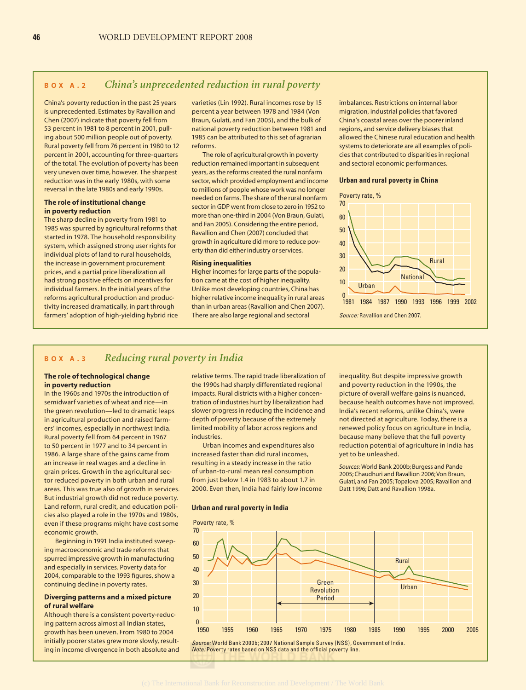# **BOX A.2** *China's unprecedented reduction in rural poverty*

China's poverty reduction in the past 25 years is unprecedented. Estimates by Ravallion and Chen (2007) indicate that poverty fell from 53 percent in 1981 to 8 percent in 2001, pulling about 500 million people out of poverty. Rural poverty fell from 76 percent in 1980 to 12 percent in 2001, accounting for three-quarters of the total. The evolution of poverty has been very uneven over time, however. The sharpest reduction was in the early 1980s, with some reversal in the late 1980s and early 1990s.

### **The role of institutional change in poverty reduction**

The sharp decline in poverty from 1981 to 1985 was spurred by agricultural reforms that started in 1978. The household responsibility system, which assigned strong user rights for individual plots of land to rural households, the increase in government procurement prices, and a partial price liberalization all had strong positive effects on incentives for individual farmers. In the initial years of the reforms agricultural production and productivity increased dramatically, in part through farmers' adoption of high-yielding hybrid rice varieties (Lin 1992). Rural incomes rose by 15 percent a year between 1978 and 1984 (Von Braun, Gulati, and Fan 2005), and the bulk of national poverty reduction between 1981 and 1985 can be attributed to this set of agrarian reforms.

The role of agricultural growth in poverty reduction remained important in subsequent years, as the reforms created the rural nonfarm sector, which provided employment and income to millions of people whose work was no longer needed on farms. The share of the rural nonfarm sector in GDP went from close to zero in 1952 to more than one-third in 2004 (Von Braun, Gulati, and Fan 2005). Considering the entire period, Ravallion and Chen (2007) concluded that growth in agriculture did more to reduce poverty than did either industry or services.

### **Rising inequalities**

Higher incomes for large parts of the population came at the cost of higher inequality. Unlike most developing countries, China has higher relative income inequality in rural areas than in urban areas (Ravallion and Chen 2007). There are also large regional and sectoral

imbalances. Restrictions on internal labor migration, industrial policies that favored China's coastal areas over the poorer inland regions, and service delivery biases that allowed the Chinese rural education and health systems to deteriorate are all examples of policies that contributed to disparities in regional and sectoral economic performances.

#### **Urban and rural poverty in China**



# **BOX A.3** *Reducing rural poverty in India*

#### **The role of technological change in poverty reduction**

In the 1960s and 1970s the introduction of semidwarf varieties of wheat and rice—in the green revolution—led to dramatic leaps in agricultural production and raised farmers' incomes, especially in northwest India. Rural poverty fell from 64 percent in 1967 to 50 percent in 1977 and to 34 percent in 1986. A large share of the gains came from an increase in real wages and a decline in grain prices. Growth in the agricultural sector reduced poverty in both urban and rural areas. This was true also of growth in services. But industrial growth did not reduce poverty. Land reform, rural credit, and education policies also played a role in the 1970s and 1980s, even if these programs might have cost some economic growth.

Beginning in 1991 India instituted sweeping macroeconomic and trade reforms that spurred impressive growth in manufacturing and especially in services. Poverty data for 2004, comparable to the 1993 figures, show a continuing decline in poverty rates.

#### **Diverging patterns and a mixed picture of rural welfare**

Although there is a consistent poverty-reducing pattern across almost all Indian states, growth has been uneven. From 1980 to 2004 initially poorer states grew more slowly, resulting in income divergence in both absolute and relative terms. The rapid trade liberalization of the 1990s had sharply differentiated regional impacts. Rural districts with a higher concentration of industries hurt by liberalization had slower progress in reducing the incidence and depth of poverty because of the extremely limited mobility of labor across regions and industries.

Urban incomes and expenditures also increased faster than did rural incomes, resulting in a steady increase in the ratio of urban-to-rural mean real consumption from just below 1.4 in 1983 to about 1.7 in 2000. Even then, India had fairly low income

#### **Urban and rural poverty in India**

inequality. But despite impressive growth and poverty reduction in the 1990s, the picture of overall welfare gains is nuanced, because health outcomes have not improved. India's recent reforms, unlike China's, were not directed at agriculture. Today, there is a renewed policy focus on agriculture in India, because many believe that the full poverty reduction potential of agriculture in India has yet to be unleashed.

*Sources:* World Bank 2000b; Burgess and Pande 2005; Chaudhuri and Ravallion 2006; Von Braun, Gulati, and Fan 2005; Topalova 2005; Ravallion and Datt 1996; Datt and Ravallion 1998a.



Source: World Bank 2000b; 2007 National Sample Survey (NSS), Government of India. Note: Poverty rates based on NSS data and the official poverty line.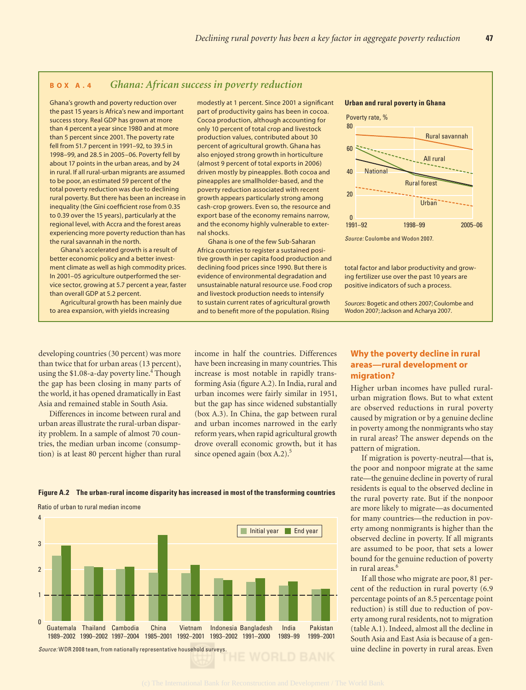# **BOX A.4** *Ghana: African success in poverty reduction*

Ghana's growth and poverty reduction over the past 15 years is Africa's new and important success story. Real GDP has grown at more than 4 percent a year since 1980 and at more than 5 percent since 2001. The poverty rate fell from 51.7 percent in 1991–92, to 39.5 in 1998–99, and 28.5 in 2005–06. Poverty fell by about 17 points in the urban areas, and by 24 in rural. If all rural-urban migrants are assumed to be poor, an estimated 59 percent of the total poverty reduction was due to declining rural poverty. But there has been an increase in inequality (the Gini coefficient rose from 0.35 to 0.39 over the 15 years), particularly at the regional level, with Accra and the forest areas experiencing more poverty reduction than has the rural savannah in the north.

Ghana's accelerated growth is a result of better economic policy and a better investment climate as well as high commodity prices. In 2001–05 agriculture outperformed the service sector, growing at 5.7 percent a year, faster than overall GDP at 5.2 percent.

Agricultural growth has been mainly due to area expansion, with yields increasing

modestly at 1 percent. Since 2001 a significant part of productivity gains has been in cocoa. Cocoa production, although accounting for only 10 percent of total crop and livestock production values, contributed about 30 percent of agricultural growth. Ghana has also enjoyed strong growth in horticulture (almost 9 percent of total exports in 2006) driven mostly by pineapples. Both cocoa and pineapples are smallholder-based, and the poverty reduction associated with recent growth appears particularly strong among cash-crop growers. Even so, the resource and export base of the economy remains narrow, and the economy highly vulnerable to external shocks.

Ghana is one of the few Sub-Saharan Africa countries to register a sustained positive growth in per capita food production and declining food prices since 1990. But there is evidence of environmental degradation and unsustainable natural resource use. Food crop and livestock production needs to intensify to sustain current rates of agricultural growth and to benefit more of the population. Rising

#### **Urban and rural poverty in Ghana**



Source: Coulombe and Wodon 2007.

total factor and labor productivity and growing fertilizer use over the past 10 years are positive indicators of such a process.

*Sources:* Bogetic and others 2007; Coulombe and Wodon 2007; Jackson and Acharya 2007.

developing countries (30 percent) was more than twice that for urban areas (13 percent), using the \$1.08-a-day poverty line.<sup>4</sup> Though the gap has been closing in many parts of the world, it has opened dramatically in East Asia and remained stable in South Asia.

Differences in income between rural and urban areas illustrate the rural-urban disparity problem. In a sample of almost 70 countries, the median urban income (consumption) is at least 80 percent higher than rural income in half the countries. Differences have been increasing in many countries. This increase is most notable in rapidly transforming Asia (figure A.2). In India, rural and urban incomes were fairly similar in 1951, but the gap has since widened substantially (box A.3). In China, the gap between rural and urban incomes narrowed in the early reform years, when rapid agricultural growth drove overall economic growth, but it has since opened again (box A.2). $5$ 

#### **Figure A.2 The urban-rural income disparity has increased in most of the transforming countries**

Ratio of urban to rural median income



# **Why the poverty decline in rural areas—rural development or migration?**

Higher urban incomes have pulled ruralurban migration flows. But to what extent are observed reductions in rural poverty caused by migration or by a genuine decline in poverty among the nonmigrants who stay in rural areas? The answer depends on the pattern of migration.

If migration is poverty-neutral—that is, the poor and nonpoor migrate at the same rate—the genuine decline in poverty of rural residents is equal to the observed decline in the rural poverty rate. But if the nonpoor are more likely to migrate—as documented for many countries—the reduction in poverty among nonmigrants is higher than the observed decline in poverty. If all migrants are assumed to be poor, that sets a lower bound for the genuine reduction of poverty in rural areas. $<sup>6</sup>$ </sup>

If all those who migrate are poor, 81 percent of the reduction in rural poverty (6.9 percentage points of an 8.5 percentage point reduction) is still due to reduction of poverty among rural residents, not to migration (table A.1). Indeed, almost all the decline in South Asia and East Asia is because of a genuine decline in poverty in rural areas. Even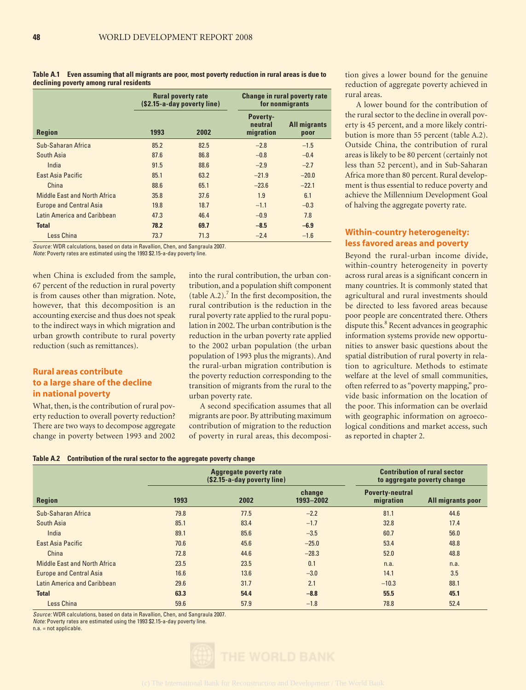**Table A.1 Even assuming that all migrants are poor, most poverty reduction in rural areas is due to declining poverty among rural residents**

|                                     |      | <b>Rural poverty rate</b><br>(\$2.15-a-day poverty line) |                                         | <b>Change in rural poverty rate</b><br>for nonmigrants |  |
|-------------------------------------|------|----------------------------------------------------------|-----------------------------------------|--------------------------------------------------------|--|
| <b>Region</b>                       | 1993 | 2002                                                     | <b>Poverty-</b><br>neutral<br>migration | <b>All migrants</b><br>poor                            |  |
| Sub-Saharan Africa                  | 85.2 | 82.5                                                     | $-2.8$                                  | $-1.5$                                                 |  |
| South Asia                          | 87.6 | 86.8                                                     | $-0.8$                                  | $-0.4$                                                 |  |
| India                               | 91.5 | 88.6                                                     | $-2.9$                                  | $-2.7$                                                 |  |
| <b>Fast Asia Pacific</b>            | 85.1 | 63.2                                                     | $-21.9$                                 | $-20.0$                                                |  |
| China                               | 88.6 | 65.1                                                     | $-23.6$                                 | $-22.1$                                                |  |
| <b>Middle East and North Africa</b> | 35.8 | 37.6                                                     | 1.9                                     | 6.1                                                    |  |
| <b>Europe and Central Asia</b>      | 19.8 | 18.7                                                     | $-1.1$                                  | $-0.3$                                                 |  |
| Latin America and Caribbean         | 47.3 | 46.4                                                     | $-0.9$                                  | 7.8                                                    |  |
| <b>Total</b>                        | 78.2 | 69.7                                                     | $-8.5$                                  | $-6.9$                                                 |  |
| Less China                          | 73.7 | 71.3                                                     | $-2.4$                                  | $-1.6$                                                 |  |

Source: WDR calculations, based on data in Ravallion, Chen, and Sangraula 2007.

Note: Poverty rates are estimated using the 1993 \$2.15-a-day poverty line.

when China is excluded from the sample, 67 percent of the reduction in rural poverty is from causes other than migration. Note, however, that this decomposition is an accounting exercise and thus does not speak to the indirect ways in which migration and urban growth contribute to rural poverty reduction (such as remittances).

# **Rural areas contribute to a large share of the decline in national poverty**

What, then, is the contribution of rural poverty reduction to overall poverty reduction? There are two ways to decompose aggregate change in poverty between 1993 and 2002

into the rural contribution, the urban contribution, and a population shift component  $(table A.2).<sup>7</sup>$  In the first decomposition, the rural contribution is the reduction in the rural poverty rate applied to the rural population in 2002. The urban contribution is the reduction in the urban poverty rate applied to the 2002 urban population (the urban population of 1993 plus the migrants). And the rural-urban migration contribution is the poverty reduction corresponding to the transition of migrants from the rural to the urban poverty rate.

A second specification assumes that all migrants are poor. By attributing maximum contribution of migration to the reduction of poverty in rural areas, this decomposition gives a lower bound for the genuine reduction of aggregate poverty achieved in rural areas.

A lower bound for the contribution of the rural sector to the decline in overall poverty is 45 percent, and a more likely contribution is more than 55 percent (table A.2). Outside China, the contribution of rural areas is likely to be 80 percent (certainly not less than 52 percent), and in Sub-Saharan Africa more than 80 percent. Rural development is thus essential to reduce poverty and achieve the Millennium Development Goal of halving the aggregate poverty rate.

# **Within-country heterogeneity: less favored areas and poverty**

Beyond the rural-urban income divide, within-country heterogeneity in poverty across rural areas is a significant concern in many countries. It is commonly stated that agricultural and rural investments should be directed to less favored areas because poor people are concentrated there. Others dispute this.<sup>8</sup> Recent advances in geographic information systems provide new opportunities to answer basic questions about the spatial distribution of rural poverty in relation to agriculture. Methods to estimate welfare at the level of small communities, often referred to as "poverty mapping," provide basic information on the location of the poor. This information can be overlaid with geographic information on agroecological conditions and market access, such as reported in chapter 2.

|  | Table A.2 Contribution of the rural sector to the aggregate poverty change |  |
|--|----------------------------------------------------------------------------|--|
|  |                                                                            |  |

|                                     | <b>Aggregate poverty rate</b><br>(\$2.15-a-day poverty line) |      |                     | <b>Contribution of rural sector</b><br>to aggregate poverty change |                   |
|-------------------------------------|--------------------------------------------------------------|------|---------------------|--------------------------------------------------------------------|-------------------|
| <b>Region</b>                       | 1993                                                         | 2002 | change<br>1993-2002 | <b>Poverty-neutral</b><br>migration                                | All migrants poor |
| Sub-Saharan Africa                  | 79.8                                                         | 77.5 | $-2.2$              | 81.1                                                               | 44.6              |
| South Asia                          | 85.1                                                         | 83.4 | $-1.7$              | 32.8                                                               | 17.4              |
| India                               | 89.1                                                         | 85.6 | $-3.5$              | 60.7                                                               | 56.0              |
| <b>East Asia Pacific</b>            | 70.6                                                         | 45.6 | $-25.0$             | 53.4                                                               | 48.8              |
| China                               | 72.8                                                         | 44.6 | $-28.3$             | 52.0                                                               | 48.8              |
| <b>Middle East and North Africa</b> | 23.5                                                         | 23.5 | 0.1                 | n.a.                                                               | n.a.              |
| <b>Europe and Central Asia</b>      | 16.6                                                         | 13.6 | $-3.0$              | 14.1                                                               | 3.5               |
| Latin America and Caribbean         | 29.6                                                         | 31.7 | 2.1                 | $-10.3$                                                            | 88.1              |
| <b>Total</b>                        | 63.3                                                         | 54.4 | $-8.8$              | 55.5                                                               | 45.1              |
| Less China                          | 59.6                                                         | 57.9 | $-1.8$              | 78.8                                                               | 52.4              |

Source: WDR calculations, based on data in Ravallion, Chen, and Sangraula 2007.

Note: Poverty rates are estimated using the 1993 \$2.15-a-day poverty line.

 $n.a. = not applicable.$